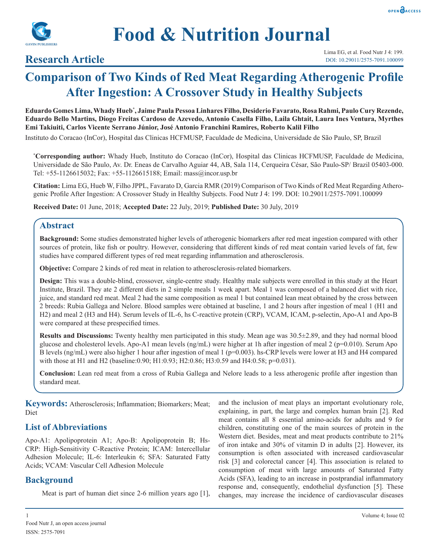



## **Research Article**

# **Comparison of Two Kinds of Red Meat Regarding Atherogenic Profile After Ingestion: A Crossover Study in Healthy Subjects**

**Eduardo Gomes Lima, Whady Hueb\* , Jaime Paula Pessoa Linhares Filho, Desiderio Favarato, Rosa Rahmi, Paulo Cury Rezende, Eduardo Bello Martins, Diogo Freitas Cardoso de Azevedo, Antonio Casella Filho, Laila Ghtait, Laura Ines Ventura, Myrthes Emi Takiuiti, Carlos Vicente Serrano Júnior, José Antonio Franchini Ramires, Roberto Kalil Filho**

Instituto do Coracao (InCor), Hospital das Clinicas HCFMUSP, Faculdade de Medicina, Universidade de São Paulo, SP, Brazil

**\* Corresponding author:** Whady Hueb, Instituto do Coracao (InCor), Hospital das Clinicas HCFMUSP, Faculdade de Medicina, Universidade de São Paulo, Av. Dr. Eneas de Carvalho Aguiar 44, AB, Sala 114, Cerqueira César, São Paulo-SP/ Brazil 05403-000. Tel: +55-1126615032; Fax: +55-1126615188; Email: mass@incor.usp.br

**Citation:** Lima EG, Hueb W, Filho JPPL, Favarato D, Garcia RMR (2019) Comparison of Two Kinds of Red Meat Regarding Atherogenic Profile After Ingestion: A Crossover Study in Healthy Subjects. Food Nutr J 4: 199. DOI: 10.29011/2575-7091.100099

**Received Date:** 01 June, 2018; **Accepted Date:** 22 July, 2019; **Published Date:** 30 July, 2019

## **Abstract**

**Background:** Some studies demonstrated higher levels of atherogenic biomarkers after red meat ingestion compared with other sources of protein, like fish or poultry. However, considering that different kinds of red meat contain varied levels of fat, few studies have compared different types of red meat regarding inflammation and atherosclerosis.

**Objective:** Compare 2 kinds of red meat in relation to atherosclerosis-related biomarkers.

**Design:** This was a double-blind, crossover, single-centre study. Healthy male subjects were enrolled in this study at the Heart Institute, Brazil. They ate 2 different diets in 2 simple meals 1 week apart. Meal 1 was composed of a balanced diet with rice, juice, and standard red meat. Meal 2 had the same composition as meal 1 but contained lean meat obtained by the cross between 2 breeds: Rubia Gallega and Nelore. Blood samples were obtained at baseline, 1 and 2 hours after ingestion of meal 1 (H1 and H2) and meal 2 (H3 and H4). Serum levels of IL-6, hs C-reactive protein (CRP), VCAM, ICAM, p-selectin, Apo-A1 and Apo-B were compared at these prespecified times.

**Results and Discussions:** Twenty healthy men participated in this study. Mean age was 30.5±2.89, and they had normal blood glucose and cholesterol levels. Apo-A1 mean levels  $\frac{\text{mg}}{\text{mL}}$  were higher at 1h after ingestion of meal 2 (p=0.010). Serum Apo B levels (ng/mL) were also higher 1 hour after ingestion of meal 1 (p=0.003). hs-CRP levels were lower at H3 and H4 compared with those at H1 and H2 (baseline: 0.90; H1: 0.93; H2: 0.86; H3: 0.59 and H4: 0.58; p=0.031).

**Conclusion:** Lean red meat from a cross of Rubia Gallega and Nelore leads to a less atherogenic profile after ingestion than standard meat.

**Keywords:** Atherosclerosis; Inflammation; Biomarkers; Meat; Diet

## **List of Abbreviations**

Apo-A1: Apolipoprotein A1; Apo-B: Apolipoprotein B; Hs-CRP: High-Sensitivity C-Reactive Protein; ICAM: Intercellular Adhesion Molecule; IL-6: Interleukin 6; SFA: Saturated Fatty Acids; VCAM: Vascular Cell Adhesion Molecule

## **Background**

Meat is part of human diet since 2-6 million years ago [1],

and the inclusion of meat plays an important evolutionary role, explaining, in part, the large and complex human brain [2]. Red meat contains all 8 essential amino-acids for adults and 9 for children, constituting one of the main sources of protein in the Western diet. Besides, meat and meat products contribute to 21% of iron intake and 30% of vitamin D in adults [2]. However, its consumption is often associated with increased cardiovascular risk [3] and colorectal cancer [4]. This association is related to consumption of meat with large amounts of Saturated Fatty Acids (SFA), leading to an increase in postprandial inflammatory response and, consequently, endothelial dysfunction [5]. These changes, may increase the incidence of cardiovascular diseases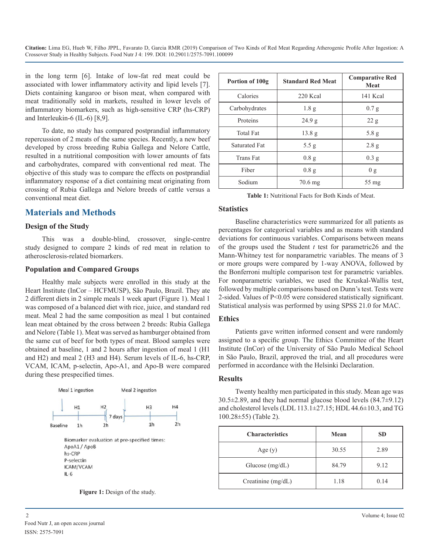**Citation:** Lima EG, Hueb W, Filho JPPL, Favarato D, Garcia RMR (2019) Comparison of Two Kinds of Red Meat Regarding Atherogenic Profile After Ingestion: A Crossover Study in Healthy Subjects. Food Nutr J 4: 199. DOI: 10.29011/2575-7091.100099

in the long term [6]. Intake of low-fat red meat could be associated with lower inflammatory activity and lipid levels [7]. Diets containing kangaroo or bison meat, when compared with meat traditionally sold in markets, resulted in lower levels of inflammatory biomarkers, such as high-sensitive CRP (hs-CRP) and Interleukin-6 (IL-6) [8,9].

To date, no study has compared postprandial inflammatory repercussion of 2 meats of the same species. Recently, a new beef developed by cross breeding Rubia Gallega and Nelore Cattle, resulted in a nutritional composition with lower amounts of fats and carbohydrates, compared with conventional red meat. The objective of this study was to compare the effects on postprandial inflammatory response of a diet containing meat originating from crossing of Rubia Gallega and Nelore breeds of cattle versus a conventional meat diet.

## **Materials and Methods**

#### **Design of the Study**

This was a double-blind, crossover, single-centre study designed to compare 2 kinds of red meat in relation to atherosclerosis-related biomarkers.

#### **Population and Compared Groups**

Healthy male subjects were enrolled in this study at the Heart Institute (InCor – HCFMUSP), São Paulo, Brazil. They ate 2 different diets in 2 simple meals 1 week apart (Figure 1). Meal 1 was composed of a balanced diet with rice, juice, and standard red meat. Meal 2 had the same composition as meal 1 but contained lean meat obtained by the cross between 2 breeds: Rubia Gallega and Nelore (Table 1). Meat was served as hamburger obtained from the same cut of beef for both types of meat. Blood samples were obtained at baseline, 1 and 2 hours after ingestion of meal 1 (H1 and H2) and meal 2 (H3 and H4). Serum levels of IL-6, hs-CRP, VCAM, ICAM, p-selectin, Apo-A1, and Apo-B were compared during these prespecified times.



**Figure 1:** Design of the study.

| Portion of 100g      | <b>Standard Red Meat</b> | <b>Comparative Red</b><br>Meat |
|----------------------|--------------------------|--------------------------------|
| Calories             | 220 Kcal                 | 141 Kcal                       |
| Carbohydrates        | 1.8 <sub>g</sub>         | 0.7 g                          |
| Proteins             | 24.9 g                   | 22 g                           |
| <b>Total Fat</b>     | 13.8 <sub>g</sub>        | 5.8 g                          |
| <b>Saturated Fat</b> | 5.5 g                    | 2.8 g                          |
| Trans Fat            | 0.8g                     | 0.3 g                          |
| Fiber                | 0.8g                     | 0 g                            |
| Sodium               | 70.6 mg                  | 55 mg                          |

**Table 1:** Nutritional Facts for Both Kinds of Meat.

#### **Statistics**

Baseline characteristics were summarized for all patients as percentages for categorical variables and as means with standard deviations for continuous variables. Comparisons between means of the groups used the Student *t* test for parametric26 and the Mann-Whitney test for nonparametric variables. The means of 3 or more groups were compared by 1-way ANOVA, followed by the Bonferroni multiple comparison test for parametric variables. For nonparametric variables, we used the Kruskal-Wallis test, followed by multiple comparisons based on Dunn's test. Tests were 2-sided. Values of P<0.05 were considered statistically significant. Statistical analysis was performed by using SPSS 21.0 for MAC.

#### **Ethics**

Patients gave written informed consent and were randomly assigned to a specific group. The Ethics Committee of the Heart Institute (InCor) of the University of São Paulo Medical School in São Paulo, Brazil, approved the trial, and all procedures were performed in accordance with the Helsinki Declaration.

#### **Results**

Twenty healthy men participated in this study. Mean age was  $30.5\pm2.89$ , and they had normal glucose blood levels  $(84.7\pm9.12)$ and cholesterol levels (LDL 113.1±27.15; HDL 44.6±10.3, and TG 100.28±55) (Table 2).

| <b>Characteristics</b> | Mean  | SD   |
|------------------------|-------|------|
| Age $(y)$              | 30.55 | 2.89 |
| Glucose (mg/dL)        | 84.79 | 9.12 |
| Creatinine $(mg/dL)$   | 1.18  | 0.14 |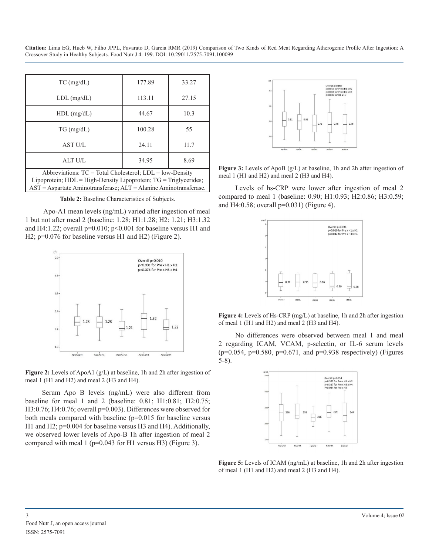**Citation:** Lima EG, Hueb W, Filho JPPL, Favarato D, Garcia RMR (2019) Comparison of Two Kinds of Red Meat Regarding Atherogenic Profile After Ingestion: A Crossover Study in Healthy Subjects. Food Nutr J 4: 199. DOI: 10.29011/2575-7091.100099

| $TC$ (mg/dL)                                                                                                                      | 177.89 | 33.27 |  |
|-----------------------------------------------------------------------------------------------------------------------------------|--------|-------|--|
| $LDL$ (mg/dL)                                                                                                                     | 113.11 | 27.15 |  |
| $HDL$ (mg/dL)                                                                                                                     | 44.67  | 10.3  |  |
| $TG \, (mg/dL)$                                                                                                                   | 100.28 | 55    |  |
| AST U/L                                                                                                                           | 24.11  | 11.7  |  |
| ALT U/L                                                                                                                           | 34.95  | 8.69  |  |
| Abbreviations: $TC = Total Cholesterol$ ; $LDL = low-Density$<br>Lipoprotein; HDL = High-Density Lipoprotein; TG = Triglycerides; |        |       |  |

AST = Aspartate Aminotransferase; ALT = Alanine Aminotransferase. **Table 2:** Baseline Characteristics of Subjects.

 Apo-A1 mean levels (ng/mL) varied after ingestion of meal 1 but not after meal 2 (baseline: 1.28; H1:1.28; H2: 1.21; H3:1.32 and H4:1.22; overall  $p=0.010$ ;  $p<0.001$  for baseline versus H1 and H2; p=0.076 for baseline versus H1 and H2) (Figure 2).



**Figure 2:** Levels of ApoA1 (g/L) at baseline, 1h and 2h after ingestion of meal 1 (H1 and H2) and meal 2 (H3 and H4).

Serum Apo B levels (ng/mL) were also different from baseline for meal 1 and 2 (baseline: 0.81; H1:0.81; H2:0.75; H3:0.76; H4:0.76; overall p=0.003). Differences were observed for both meals compared with baseline (p=0.015 for baseline versus H1 and H2; p=0.004 for baseline versus H3 and H4). Additionally, we observed lower levels of Apo-B 1h after ingestion of meal 2 compared with meal  $1$  (p=0.043 for H1 versus H3) (Figure 3).



**Figure 3:** Levels of ApoB (g/L) at baseline, 1h and 2h after ingestion of meal 1 (H1 and H2) and meal 2 (H3 and H4).

Levels of hs-CRP were lower after ingestion of meal 2 compared to meal 1 (baseline: 0.90; H1:0.93; H2:0.86; H3:0.59; and H4:0.58; overall p=0.031) (Figure 4).



**Figure 4:** Levels of Hs-CRP (mg/L) at baseline, 1h and 2h after ingestion of meal 1 (H1 and H2) and meal 2 (H3 and H4).

No differences were observed between meal 1 and meal 2 regarding ICAM, VCAM, p-selectin, or IL-6 serum levels  $(p=0.054, p=0.580, p=0.671, and p=0.938 respectively)$  (Figures 5-8).



**Figure 5:** Levels of ICAM (ng/mL) at baseline, 1h and 2h after ingestion of meal 1 (H1 and H2) and meal 2 (H3 and H4).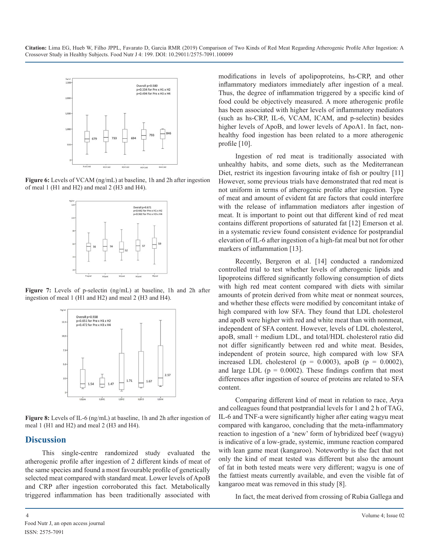

**Figure 6:** Levels of VCAM (ng/mL) at baseline, 1h and 2h after ingestion of meal 1 (H1 and H2) and meal 2 (H3 and H4).



**Figure 7:** Levels of p-selectin (ng/mL) at baseline, 1h and 2h after ingestion of meal 1 (H1 and H2) and meal 2 (H3 and H4).



**Figure 8:** Levels of IL-6 (ng/mL) at baseline, 1h and 2h after ingestion of meal 1 (H1 and H2) and meal 2 (H3 and H4).

## **Discussion**

This single-centre randomized study evaluated the atherogenic profile after ingestion of 2 different kinds of meat of the same species and found a most favourable profile of genetically selected meat compared with standard meat. Lower levels of ApoB and CRP after ingestion corroborated this fact. Metabolically triggered inflammation has been traditionally associated with

modifications in levels of apolipoproteins, hs-CRP, and other inflammatory mediators immediately after ingestion of a meal. Thus, the degree of inflammation triggered by a specific kind of food could be objectively measured. A more atherogenic profile has been associated with higher levels of inflammatory mediators (such as hs-CRP, IL-6, VCAM, ICAM, and p-selectin) besides higher levels of ApoB, and lower levels of ApoA1. In fact, nonhealthy food ingestion has been related to a more atherogenic profile [10].

Ingestion of red meat is traditionally associated with unhealthy habits, and some diets, such as the Mediterranean Diet, restrict its ingestion favouring intake of fish or poultry [11] However, some previous trials have demonstrated that red meat is not uniform in terms of atherogenic profile after ingestion. Type of meat and amount of evident fat are factors that could interfere with the release of inflammation mediators after ingestion of meat. It is important to point out that different kind of red meat contains different proportions of saturated fat [12] Emerson et al. in a systematic review found consistent evidence for postprandial elevation of IL-6 after ingestion of a high-fat meal but not for other markers of inflammation [13].

Recently, Bergeron et al. [14] conducted a randomized controlled trial to test whether levels of atherogenic lipids and lipoproteins differed significantly following consumption of diets with high red meat content compared with diets with similar amounts of protein derived from white meat or nonmeat sources, and whether these effects were modified by concomitant intake of high compared with low SFA. They found that LDL cholesterol and apoB were higher with red and white meat than with nonmeat, independent of SFA content. However, levels of LDL cholesterol, apoB, small + medium LDL, and total/HDL cholesterol ratio did not differ significantly between red and white meat. Besides, independent of protein source, high compared with low SFA increased LDL cholesterol ( $p = 0.0003$ ), apoB ( $p = 0.0002$ ), and large LDL ( $p = 0.0002$ ). These findings confirm that most differences after ingestion of source of proteins are related to SFA content.

Comparing different kind of meat in relation to race, Arya and colleagues found that postprandial levels for 1 and 2 h of TAG, IL-6 and TNF-a were significantly higher after eating wagyu meat compared with kangaroo, concluding that the meta-inflammatory reaction to ingestion of a 'new' form of hybridized beef (wagyu) is indicative of a low-grade, systemic, immune reaction compared with lean game meat (kangaroo). Noteworthy is the fact that not only the kind of meat tested was different but also the amount of fat in both tested meats were very different; wagyu is one of the fattiest meats currently available, and even the visible fat of kangaroo meat was removed in this study [8].

In fact, the meat derived from crossing of Rubia Gallega and